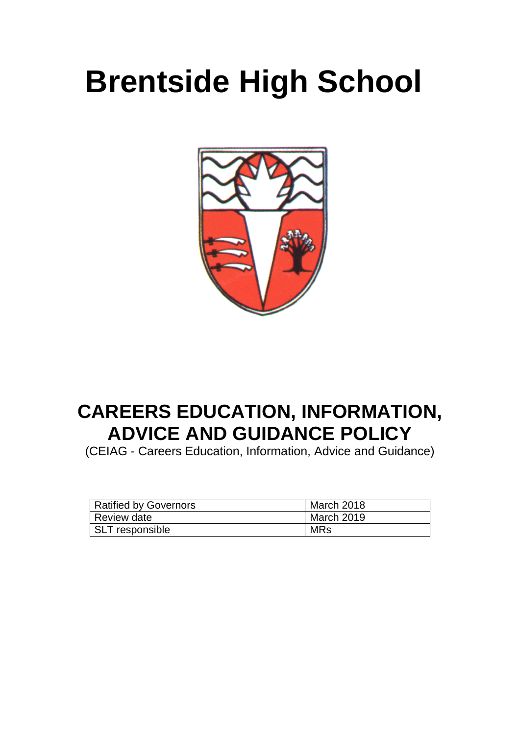# **Brentside High School**



# **CAREERS EDUCATION, INFORMATION, ADVICE AND GUIDANCE POLICY**

(CEIAG - Careers Education, Information, Advice and Guidance)

| <b>Ratified by Governors</b> | March 2018 |
|------------------------------|------------|
| <b>Review date</b>           | March 2019 |
| <b>SLT</b> responsible       | <b>MRs</b> |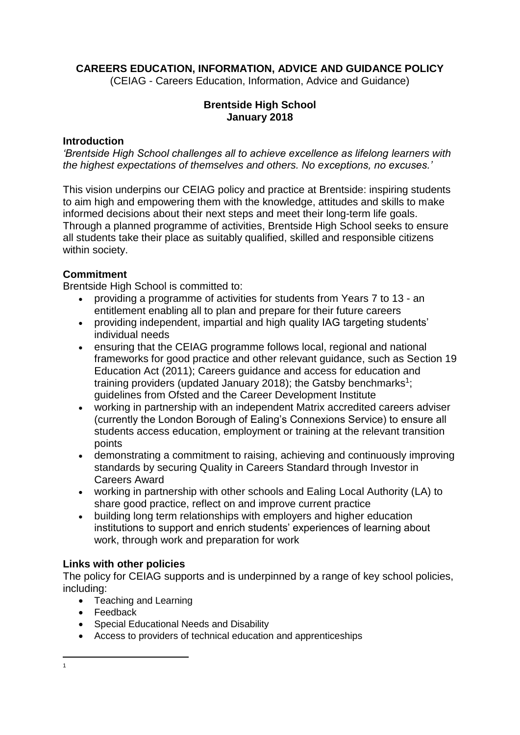# **CAREERS EDUCATION, INFORMATION, ADVICE AND GUIDANCE POLICY**

(CEIAG - Careers Education, Information, Advice and Guidance)

## **Brentside High School January 2018**

#### **Introduction**

*'Brentside High School challenges all to achieve excellence as lifelong learners with the highest expectations of themselves and others. No exceptions, no excuses.'*

This vision underpins our CEIAG policy and practice at Brentside: inspiring students to aim high and empowering them with the knowledge, attitudes and skills to make informed decisions about their next steps and meet their long-term life goals. Through a planned programme of activities, Brentside High School seeks to ensure all students take their place as suitably qualified, skilled and responsible citizens within society.

# **Commitment**

Brentside High School is committed to:

- providing a programme of activities for students from Years 7 to 13 an entitlement enabling all to plan and prepare for their future careers
- providing independent, impartial and high quality IAG targeting students' individual needs
- ensuring that the CEIAG programme follows local, regional and national frameworks for good practice and other relevant guidance, such as Section 19 Education Act (2011); Careers guidance and access for education and training providers (updated January 2018); the Gatsby benchmarks<sup>1</sup>; guidelines from Ofsted and the Career Development Institute
- working in partnership with an independent Matrix accredited careers adviser (currently the London Borough of Ealing's Connexions Service) to ensure all students access education, employment or training at the relevant transition points
- demonstrating a commitment to raising, achieving and continuously improving standards by securing Quality in Careers Standard through Investor in Careers Award
- working in partnership with other schools and Ealing Local Authority (LA) to share good practice, reflect on and improve current practice
- building long term relationships with employers and higher education institutions to support and enrich students' experiences of learning about work, through work and preparation for work

# **Links with other policies**

The policy for CEIAG supports and is underpinned by a range of key school policies, including:

- Teaching and Learning
- Feedback
- Special Educational Needs and Disability
- Access to providers of technical education and apprenticeships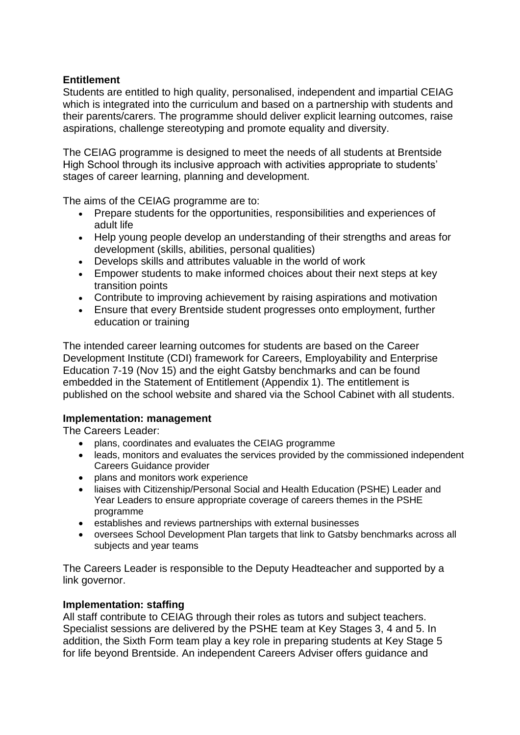## **Entitlement**

Students are entitled to high quality, personalised, independent and impartial CEIAG which is integrated into the curriculum and based on a partnership with students and their parents/carers. The programme should deliver explicit learning outcomes, raise aspirations, challenge stereotyping and promote equality and diversity.

The CEIAG programme is designed to meet the needs of all students at Brentside High School through its inclusive approach with activities appropriate to students' stages of career learning, planning and development.

The aims of the CEIAG programme are to:

- Prepare students for the opportunities, responsibilities and experiences of adult life
- Help young people develop an understanding of their strengths and areas for development (skills, abilities, personal qualities)
- Develops skills and attributes valuable in the world of work
- Empower students to make informed choices about their next steps at key transition points
- Contribute to improving achievement by raising aspirations and motivation
- Ensure that every Brentside student progresses onto employment, further education or training

The intended career learning outcomes for students are based on the Career Development Institute (CDI) framework for Careers, Employability and Enterprise Education 7-19 (Nov 15) and the eight Gatsby benchmarks and can be found embedded in the Statement of Entitlement (Appendix 1). The entitlement is published on the school website and shared via the School Cabinet with all students.

#### **Implementation: management**

The Careers Leader:

- plans, coordinates and evaluates the CEIAG programme
- leads, monitors and evaluates the services provided by the commissioned independent Careers Guidance provider
- plans and monitors work experience
- liaises with Citizenship/Personal Social and Health Education (PSHE) Leader and Year Leaders to ensure appropriate coverage of careers themes in the PSHE programme
- establishes and reviews partnerships with external businesses
- oversees School Development Plan targets that link to Gatsby benchmarks across all subjects and year teams

The Careers Leader is responsible to the Deputy Headteacher and supported by a link governor.

#### **Implementation: staffing**

All staff contribute to CEIAG through their roles as tutors and subject teachers. Specialist sessions are delivered by the PSHE team at Key Stages 3, 4 and 5. In addition, the Sixth Form team play a key role in preparing students at Key Stage 5 for life beyond Brentside. An independent Careers Adviser offers guidance and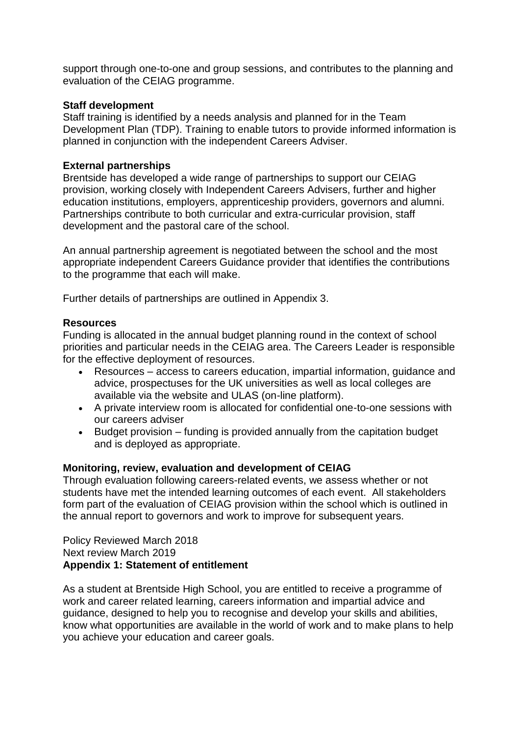support through one-to-one and group sessions, and contributes to the planning and evaluation of the CEIAG programme.

#### **Staff development**

Staff training is identified by a needs analysis and planned for in the Team Development Plan (TDP). Training to enable tutors to provide informed information is planned in conjunction with the independent Careers Adviser.

#### **External partnerships**

Brentside has developed a wide range of partnerships to support our CEIAG provision, working closely with Independent Careers Advisers, further and higher education institutions, employers, apprenticeship providers, governors and alumni. Partnerships contribute to both curricular and extra-curricular provision, staff development and the pastoral care of the school.

An annual partnership agreement is negotiated between the school and the most appropriate independent Careers Guidance provider that identifies the contributions to the programme that each will make.

Further details of partnerships are outlined in Appendix 3.

#### **Resources**

Funding is allocated in the annual budget planning round in the context of school priorities and particular needs in the CEIAG area. The Careers Leader is responsible for the effective deployment of resources.

- Resources access to careers education, impartial information, guidance and advice, prospectuses for the UK universities as well as local colleges are available via the website and ULAS (on-line platform).
- A private interview room is allocated for confidential one-to-one sessions with our careers adviser
- Budget provision funding is provided annually from the capitation budget and is deployed as appropriate.

#### **Monitoring, review, evaluation and development of CEIAG**

Through evaluation following careers-related events, we assess whether or not students have met the intended learning outcomes of each event. All stakeholders form part of the evaluation of CEIAG provision within the school which is outlined in the annual report to governors and work to improve for subsequent years.

Policy Reviewed March 2018 Next review March 2019 **Appendix 1: Statement of entitlement**

As a student at Brentside High School, you are entitled to receive a programme of work and career related learning, careers information and impartial advice and guidance, designed to help you to recognise and develop your skills and abilities, know what opportunities are available in the world of work and to make plans to help you achieve your education and career goals.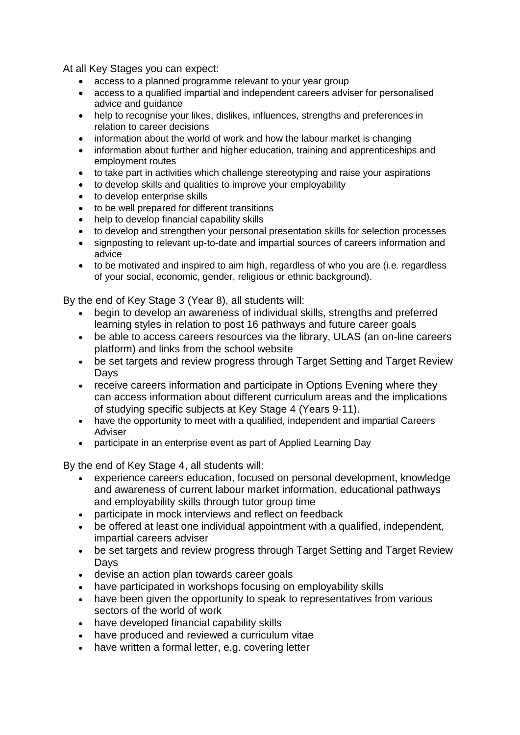At all Key Stages you can expect:

- access to a planned programme relevant to your year group
- access to a qualified impartial and independent careers adviser for personalised advice and guidance
- help to recognise your likes, dislikes, influences, strengths and preferences in relation to career decisions
- information about the world of work and how the labour market is changing
- information about further and higher education, training and apprenticeships and employment routes
- to take part in activities which challenge stereotyping and raise your aspirations
- to develop skills and qualities to improve your employability
- to develop enterprise skills
- to be well prepared for different transitions
- help to develop financial capability skills
- to develop and strengthen your personal presentation skills for selection processes
- signposting to relevant up-to-date and impartial sources of careers information and advice
- to be motivated and inspired to aim high, regardless of who you are (i.e. regardless of your social, economic, gender, religious or ethnic background).

By the end of Key Stage 3 (Year 8), all students will:

- begin to develop an awareness of individual skills, strengths and preferred learning styles in relation to post 16 pathways and future career goals
- be able to access careers resources via the library, ULAS (an on-line careers platform) and links from the school website
- be set targets and review progress through Target Setting and Target Review Days
- receive careers information and participate in Options Evening where they can access information about different curriculum areas and the implications of studying specific subjects at Key Stage 4 (Years 9-11).
- have the opportunity to meet with a qualified, independent and impartial Careers Adviser
- participate in an enterprise event as part of Applied Learning Day

By the end of Key Stage 4, all students will:

- experience careers education, focused on personal development, knowledge and awareness of current labour market information, educational pathways and employability skills through tutor group time
- participate in mock interviews and reflect on feedback
- be offered at least one individual appointment with a qualified, independent, impartial careers adviser
- be set targets and review progress through Target Setting and Target Review Days
- devise an action plan towards career goals
- have participated in workshops focusing on employability skills
- have been given the opportunity to speak to representatives from various sectors of the world of work
- have developed financial capability skills
- have produced and reviewed a curriculum vitae
- have written a formal letter, e.g. covering letter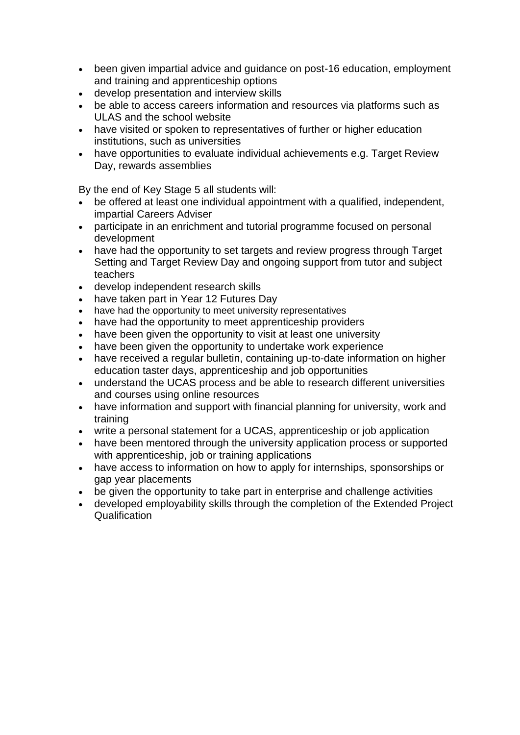- been given impartial advice and guidance on post-16 education, employment and training and apprenticeship options
- develop presentation and interview skills
- be able to access careers information and resources via platforms such as ULAS and the school website
- have visited or spoken to representatives of further or higher education institutions, such as universities
- have opportunities to evaluate individual achievements e.g. Target Review Day, rewards assemblies

By the end of Key Stage 5 all students will:

- be offered at least one individual appointment with a qualified, independent, impartial Careers Adviser
- participate in an enrichment and tutorial programme focused on personal development
- have had the opportunity to set targets and review progress through Target Setting and Target Review Day and ongoing support from tutor and subject teachers
- develop independent research skills
- have taken part in Year 12 Futures Dav
- have had the opportunity to meet university representatives
- have had the opportunity to meet apprenticeship providers
- have been given the opportunity to visit at least one university
- have been given the opportunity to undertake work experience
- have received a regular bulletin, containing up-to-date information on higher education taster days, apprenticeship and job opportunities
- understand the UCAS process and be able to research different universities and courses using online resources
- have information and support with financial planning for university, work and training
- write a personal statement for a UCAS, apprenticeship or job application
- have been mentored through the university application process or supported with apprenticeship, job or training applications
- have access to information on how to apply for internships, sponsorships or gap year placements
- be given the opportunity to take part in enterprise and challenge activities
- developed employability skills through the completion of the Extended Project Qualification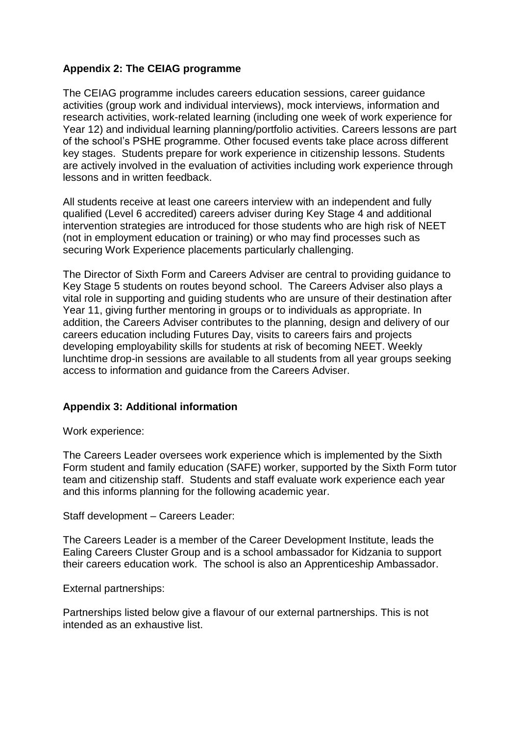# **Appendix 2: The CEIAG programme**

The CEIAG programme includes careers education sessions, career guidance activities (group work and individual interviews), mock interviews, information and research activities, work-related learning (including one week of work experience for Year 12) and individual learning planning/portfolio activities. Careers lessons are part of the school's PSHE programme. Other focused events take place across different key stages. Students prepare for work experience in citizenship lessons. Students are actively involved in the evaluation of activities including work experience through lessons and in written feedback.

All students receive at least one careers interview with an independent and fully qualified (Level 6 accredited) careers adviser during Key Stage 4 and additional intervention strategies are introduced for those students who are high risk of NEET (not in employment education or training) or who may find processes such as securing Work Experience placements particularly challenging.

The Director of Sixth Form and Careers Adviser are central to providing guidance to Key Stage 5 students on routes beyond school. The Careers Adviser also plays a vital role in supporting and guiding students who are unsure of their destination after Year 11, giving further mentoring in groups or to individuals as appropriate. In addition, the Careers Adviser contributes to the planning, design and delivery of our careers education including Futures Day, visits to careers fairs and projects developing employability skills for students at risk of becoming NEET. Weekly lunchtime drop-in sessions are available to all students from all year groups seeking access to information and guidance from the Careers Adviser.

# **Appendix 3: Additional information**

Work experience:

The Careers Leader oversees work experience which is implemented by the Sixth Form student and family education (SAFE) worker, supported by the Sixth Form tutor team and citizenship staff. Students and staff evaluate work experience each year and this informs planning for the following academic year.

Staff development – Careers Leader:

The Careers Leader is a member of the Career Development Institute, leads the Ealing Careers Cluster Group and is a school ambassador for Kidzania to support their careers education work. The school is also an Apprenticeship Ambassador.

External partnerships:

Partnerships listed below give a flavour of our external partnerships. This is not intended as an exhaustive list.